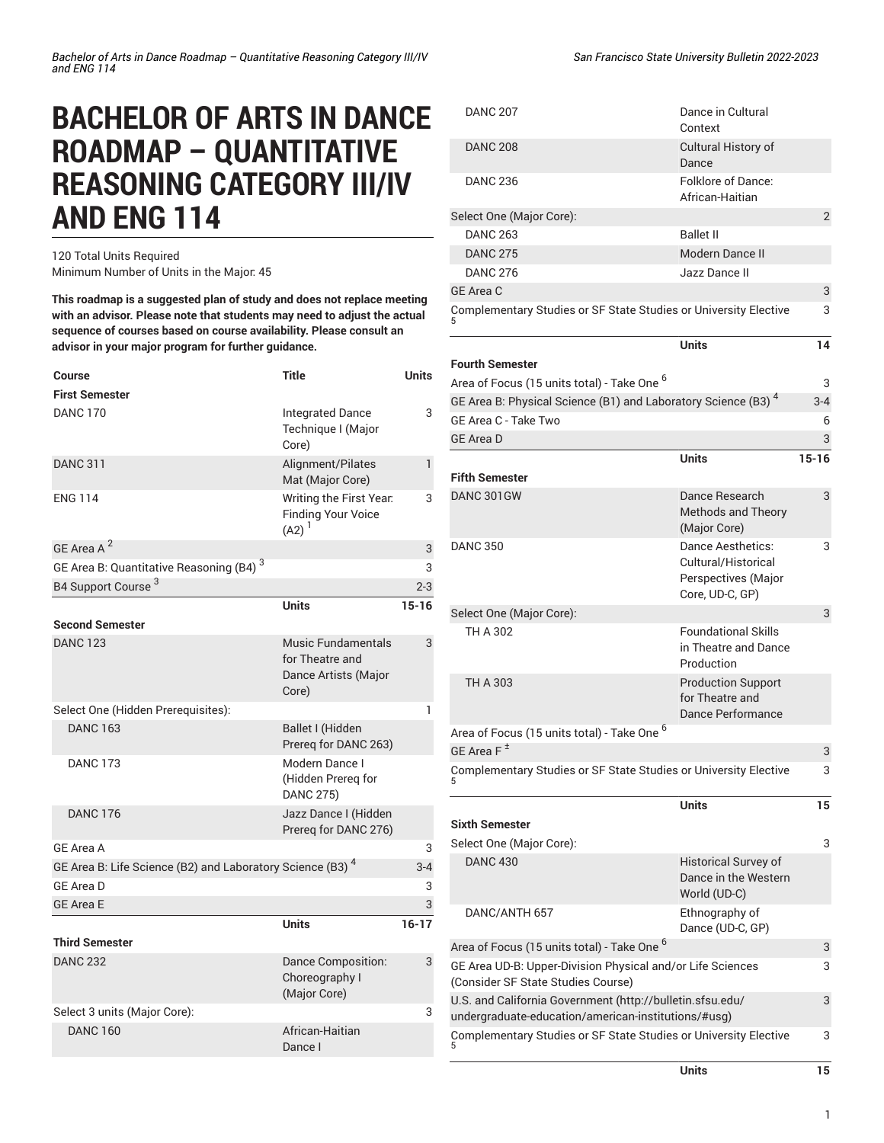# **BACHELOR OF ARTS IN DANCE ROADMAP – QUANTITATIVE REASONING CATEGORY III/IV AND ENG 114**

120 Total Units Required Minimum Number of Units in the Major: 45

**This roadmap is a suggested plan of study and does not replace meeting with an advisor. Please note that students may need to adjust the actual sequence of courses based on course availability. Please consult an advisor in your major program for further guidance.**

5

[\(Consider SF State Studies Course\)](/undergraduate-education/general-education/upper-division/#physicalandorlifesciencesudbtext)

U.S. and California [Government](http://bulletin.sfsu.edu/undergraduate-education/american-institutions/#usg) ([http://bulletin.sfsu.edu/](http://bulletin.sfsu.edu/undergraduate-education/american-institutions/#usg) [undergraduate-education/american-institutions/#usg](http://bulletin.sfsu.edu/undergraduate-education/american-institutions/#usg))

[Complementary](/undergraduate-education/sf-state-studies/) Studies or SF State Studies or University Elective

| Course                                                                | Title                                                                         | <b>Units</b> |
|-----------------------------------------------------------------------|-------------------------------------------------------------------------------|--------------|
| <b>First Semester</b>                                                 |                                                                               |              |
| <b>DANC 170</b>                                                       | <b>Integrated Dance</b><br>Technique I (Major<br>Core)                        | 3            |
| <b>DANC 311</b>                                                       | Alignment/Pilates<br>Mat (Major Core)                                         | $\mathbf{1}$ |
| <b>ENG 114</b>                                                        | Writing the First Year.<br><b>Finding Your Voice</b><br>$(A2)^1$              | 3            |
| GE Area A <sup>2</sup>                                                |                                                                               | 3            |
| GE Area B: Quantitative Reasoning (B4) <sup>3</sup>                   |                                                                               | 3            |
| B4 Support Course <sup>3</sup>                                        |                                                                               | $2 - 3$      |
|                                                                       | <b>Units</b>                                                                  | $15 - 16$    |
| <b>Second Semester</b>                                                |                                                                               |              |
| <b>DANC 123</b>                                                       | <b>Music Fundamentals</b><br>for Theatre and<br>Dance Artists (Major<br>Core) | 3            |
| Select One (Hidden Prerequisites):                                    |                                                                               | $\mathbf{1}$ |
| <b>DANC 163</b>                                                       | Ballet I (Hidden<br>Prereq for DANC 263)                                      |              |
| <b>DANC 173</b>                                                       | Modern Dance I<br>(Hidden Prereg for<br><b>DANC 275)</b>                      |              |
| <b>DANC 176</b>                                                       | Jazz Dance I (Hidden<br>Prereq for DANC 276)                                  |              |
| <b>GE Area A</b>                                                      |                                                                               | 3            |
| GE Area B: Life Science (B2) and Laboratory Science (B3) <sup>4</sup> |                                                                               | $3 - 4$      |
| <b>GE Area D</b>                                                      |                                                                               | 3            |
| <b>GE Area E</b>                                                      |                                                                               | 3            |
|                                                                       | <b>Units</b>                                                                  | $16-17$      |
| <b>Third Semester</b>                                                 |                                                                               |              |
| <b>DANC 232</b>                                                       | Dance Composition:<br>Choreography I<br>(Major Core)                          | 3            |
| Select 3 units (Major Core):                                          |                                                                               | 3            |
| <b>DANC 160</b>                                                       | African-Haitian<br>Dance I                                                    |              |

| <b>DANC 207</b>                                                           | Dance in Cultural<br>Context                                                       |           |
|---------------------------------------------------------------------------|------------------------------------------------------------------------------------|-----------|
| <b>DANC 208</b>                                                           | Cultural History of<br>Dance                                                       |           |
| <b>DANC 236</b>                                                           | Folklore of Dance:<br>African-Haitian                                              |           |
| Select One (Major Core):                                                  |                                                                                    | 2         |
| <b>DANC 263</b>                                                           | <b>Ballet II</b>                                                                   |           |
| <b>DANC 275</b>                                                           | Modern Dance II                                                                    |           |
| <b>DANC 276</b>                                                           | Jazz Dance II                                                                      |           |
| GE Area C                                                                 |                                                                                    | 3         |
| Complementary Studies or SF State Studies or University Elective          |                                                                                    | 3         |
| <b>Fourth Semester</b>                                                    | <b>Units</b>                                                                       | 14        |
| Area of Focus (15 units total) - Take One <sup>6</sup>                    |                                                                                    |           |
| GE Area B: Physical Science (B1) and Laboratory Science (B3) <sup>4</sup> |                                                                                    | 3         |
| GE Area C - Take Two                                                      |                                                                                    | $3 - 4$   |
| <b>GE Area D</b>                                                          |                                                                                    | 6<br>3    |
|                                                                           | <b>Units</b>                                                                       | $15 - 16$ |
| <b>Fifth Semester</b>                                                     |                                                                                    |           |
| DANC 301GW                                                                | Dance Research                                                                     | 3         |
|                                                                           | <b>Methods and Theory</b><br>(Major Core)                                          |           |
| <b>DANC 350</b>                                                           | Dance Aesthetics:<br>Cultural/Historical<br>Perspectives (Major<br>Core, UD-C, GP) | 3         |
| Select One (Major Core):                                                  |                                                                                    | 3         |
| TH A 302                                                                  | <b>Foundational Skills</b><br>in Theatre and Dance<br>Production                   |           |
| TH A 303                                                                  | <b>Production Support</b><br>for Theatre and<br>Dance Performance                  |           |
| 6<br>Area of Focus (15 units total) - Take One                            |                                                                                    |           |
| GE Area F <sup>±</sup>                                                    |                                                                                    | 3         |
| Complementary Studies or SF State Studies or University Elective          |                                                                                    | 3         |
| <b>Sixth Semester</b>                                                     | <b>Units</b>                                                                       | 15        |
|                                                                           |                                                                                    |           |
| Select One (Major Core):<br><b>DANC 430</b>                               | <b>Historical Survey of</b>                                                        | 3         |
|                                                                           | Dance in the Western<br>World (UD-C)                                               |           |
| DANC/ANTH 657                                                             | Ethnography of<br>Dance (UD-C, GP)                                                 |           |
| Area of Focus (15 units total) - Take One <sup>6</sup>                    |                                                                                    | 3         |
| GE Area UD-B: Upper-Division Physical and/or Life Sciences                |                                                                                    | 3         |

*San Francisco State University Bulletin 2022-2023*

**Units 15**

3

3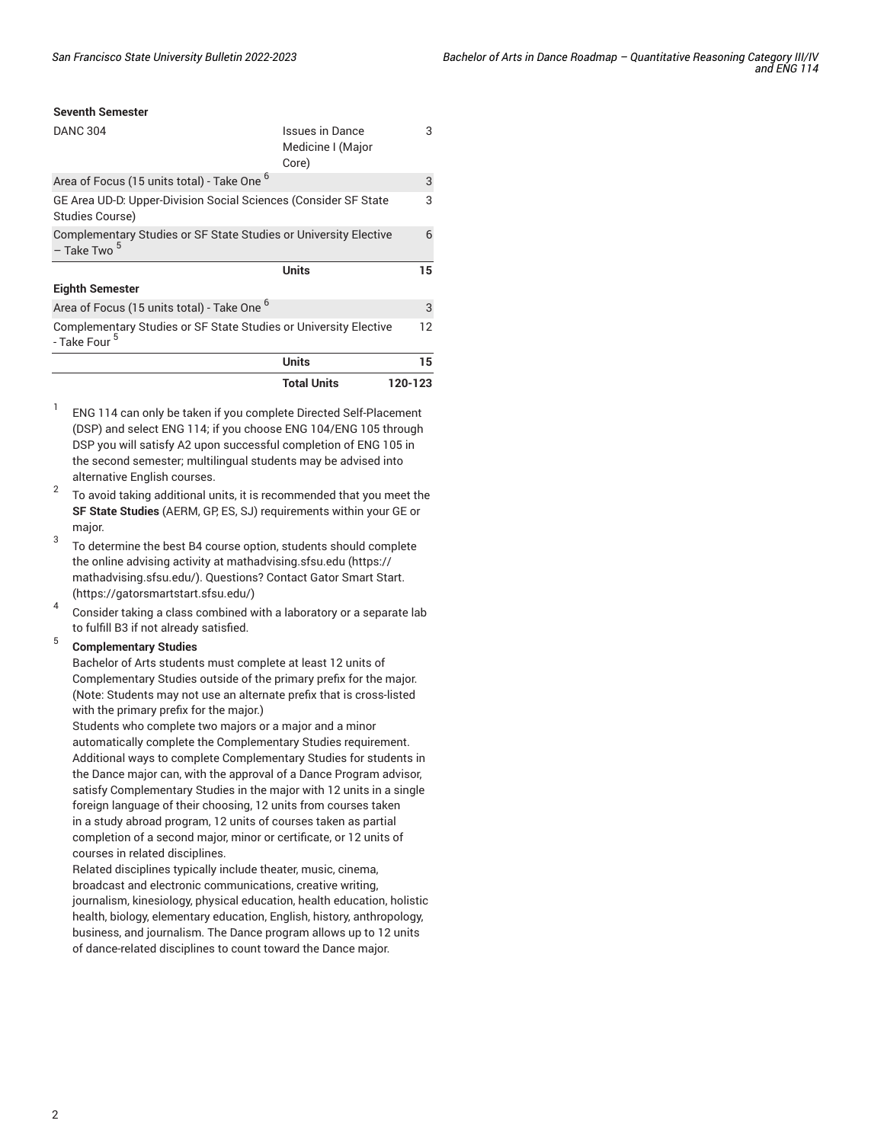## **Seventh Semester**

|                                                                                               | <b>Total Units</b>                            | 120-123 |
|-----------------------------------------------------------------------------------------------|-----------------------------------------------|---------|
|                                                                                               | Units                                         | 15      |
| Complementary Studies or SF State Studies or University Elective<br>- Take Four <sup>5</sup>  |                                               | 12      |
| Area of Focus (15 units total) - Take One <sup>b</sup>                                        |                                               | 3       |
| <b>Eighth Semester</b>                                                                        |                                               |         |
|                                                                                               | Units                                         | 15      |
| Complementary Studies or SF State Studies or University Elective<br>$-$ Take Two <sup>5</sup> |                                               | 6       |
| GE Area UD-D. Upper-Division Social Sciences (Consider SF State<br>Studies Course)            |                                               | 3       |
| Area of Focus (15 units total) - Take One <sup>6</sup>                                        |                                               | 3       |
| <b>DANC 304</b>                                                                               | Issues in Dance<br>Medicine I (Major<br>Core) | 3       |
|                                                                                               |                                               |         |

- 1 ENG 114 can only be taken if you complete Directed Self-Placement (DSP) and select ENG 114; if you choose ENG 104/ENG 105 through DSP you will satisfy A2 upon successful completion of ENG 105 in the second semester; multilingual students may be advised into alternative English courses.
- $\overline{2}$ To avoid taking additional units, it is recommended that you meet the **SF State Studies** (AERM, GP, ES, SJ) requirements within your GE or major.
- 3 To determine the best B4 course option, students should complete the online advising activity at [mathadvising.sfsu.edu](https://mathadvising.sfsu.edu/) ([https://](https://mathadvising.sfsu.edu/) [mathadvising.sfsu.edu/\)](https://mathadvising.sfsu.edu/). Questions? Contact Gator [Smart](https://gatorsmartstart.sfsu.edu/) Start. ([https://gatorsmartstart.sfsu.edu/\)](https://gatorsmartstart.sfsu.edu/)
- 4 Consider taking a class combined with a laboratory or a separate lab to fulfill B3 if not already satisfied.

#### 5 **Complementary Studies**

Bachelor of Arts students must complete at least 12 units of Complementary Studies outside of the primary prefix for the major. (Note: Students may not use an alternate prefix that is cross-listed with the primary prefix for the major.)

Students who complete two majors or a major and a minor automatically complete the Complementary Studies requirement. Additional ways to complete Complementary Studies for students in the Dance major can, with the approval of a Dance Program advisor, satisfy Complementary Studies in the major with 12 units in a single foreign language of their choosing, 12 units from courses taken in a study abroad program, 12 units of courses taken as partial completion of a second major, minor or certificate, or 12 units of courses in related disciplines.

Related disciplines typically include theater, music, cinema, broadcast and electronic communications, creative writing, journalism, kinesiology, physical education, health education, holistic health, biology, elementary education, English, history, anthropology, business, and journalism. The Dance program allows up to 12 units of dance-related disciplines to count toward the Dance major.